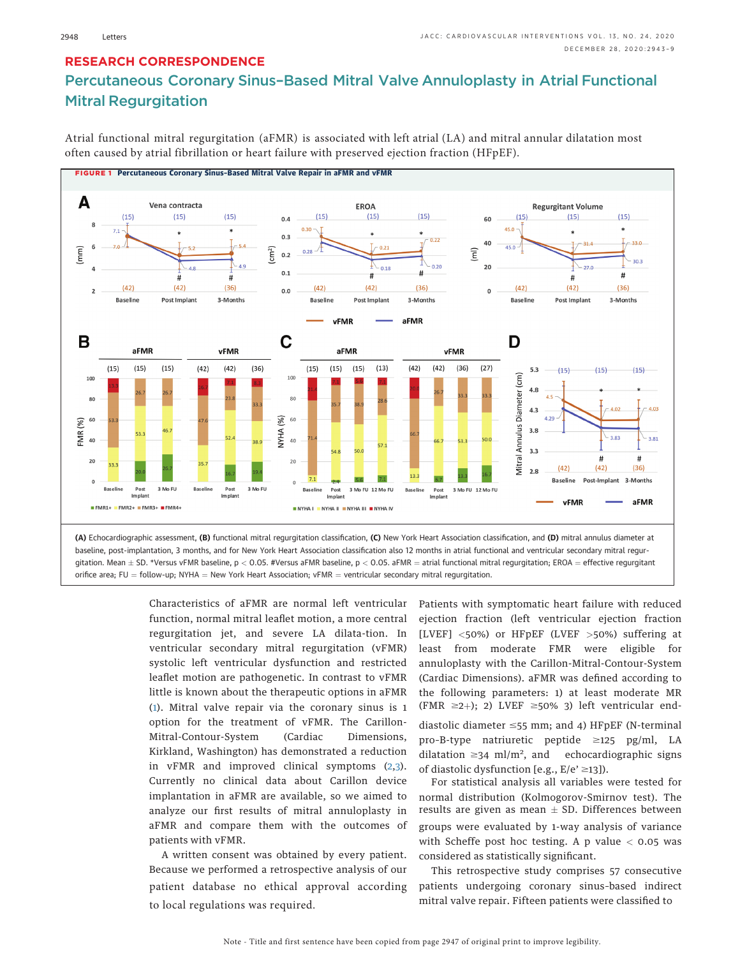## RESEARCH CORRESPONDENCE

## Percutaneous Coronary Sinus–Based Mitral Valve Annuloplasty in Atrial Functional Mitral Regurgitation

Atrial functional mitral regurgitation (aFMR) is associated with left atrial (LA) and mitral annular dilatation most often caused by atrial fibrillation or heart failure with preserved ejection fraction (HFpEF).



baseline, post-implantation, 3 months, and for New York Heart Association classification also 12 months in atrial functional and ventricular secondary mitral regurgitation. Mean  $\pm$  SD. \*Versus vFMR baseline, p  $<$  0.05. #Versus aFMR baseline, p  $<$  0.05. aFMR  $=$  atrial functional mitral regurgitation; EROA  $=$  effective regurgitant orifice area; FU = follow-up; NYHA = New York Heart Association; vFMR = ventricular secondary mitral regurgitation.

> Characteristics of aFMR are normal left ventricular function, normal mitral leaflet motion, a more central regurgitation jet, and severe LA dilata-tion. In ventricular secondary mitral regurgitation (vFMR) systolic left ventricular dysfunction and restricted leaflet motion are pathogenetic. In contrast to vFMR little is known about the therapeutic options in aFMR (1). Mitral valve repair via the coronary sinus is 1 option for the treatment of vFMR. The Carillon-Mitral-Contour-System (Cardiac Dimensions, Kirkland, Washington) has demonstrated a reduction in vFMR and improved clinical symptoms (2,3). Currently no clinical data about Carillon device implantation in aFMR are available, so we aimed to analyze our first results of mitral annuloplasty in aFMR and compare them with the outcomes of patients with vFMR.

A written consent was obtained by every patient. Because we performed a retrospective analysis of our patient database no ethical approval according to local regulations was required.

Patients with symptomatic heart failure with reduced ejection fraction (left ventricular ejection fraction [LVEF] <50%) or HFpEF (LVEF >50%) suffering at least from moderate FMR were eligible for annuloplasty with the Carillon-Mitral-Contour-System (Cardiac Dimensions). aFMR was defined according to the following parameters: 1) at least moderate MR (FMR  $\geq$ 2+); 2) LVEF  $\geq$ 50% 3) left ventricular end-

diastolic diameter  $\leq$ 55 mm; and 4) HFpEF (N-terminal pro-B-type natriuretic peptide  $\geq$ 125 pg/ml, LA dilatation  $\geq$ 34 ml/m<sup>2</sup>, and echocardiographic signs of diastolic dysfunction [e.g.,  $E/e' \ge 13$ ]).

For statistical analysis all variables were tested for normal distribution (Kolmogorov-Smirnov test). The results are given as mean  $\pm$  SD. Differences between groups were evaluated by 1-way analysis of variance with Scheffe post hoc testing. A p value  $< 0.05$  was considered as statistically significant.

This retrospective study comprises 57 consecutive patients undergoing coronary sinus–based indirect mitral valve repair. Fifteen patients were classified to